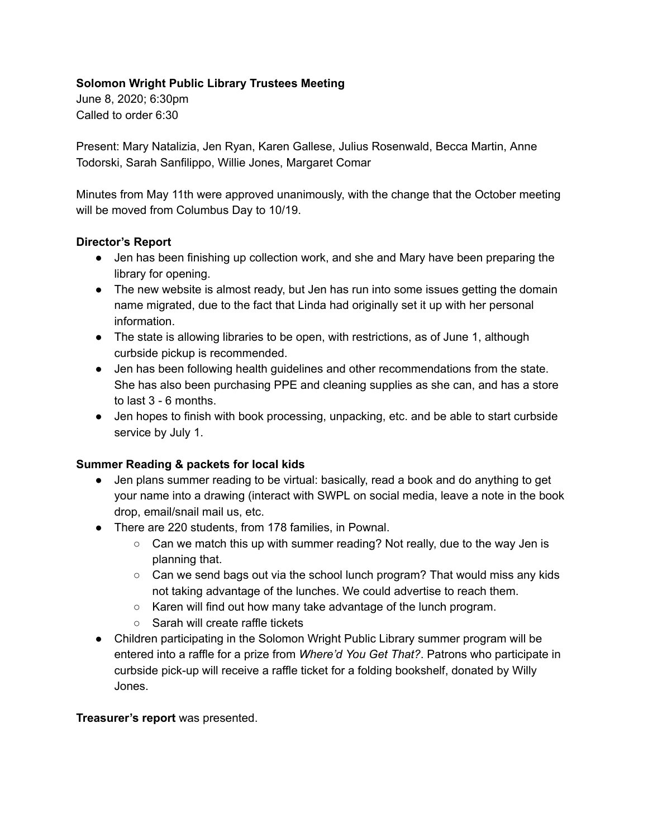### **Solomon Wright Public Library Trustees Meeting**

June 8, 2020; 6:30pm Called to order 6:30

Present: Mary Natalizia, Jen Ryan, Karen Gallese, Julius Rosenwald, Becca Martin, Anne Todorski, Sarah Sanfilippo, Willie Jones, Margaret Comar

Minutes from May 11th were approved unanimously, with the change that the October meeting will be moved from Columbus Day to 10/19.

#### **Director's Report**

- Jen has been finishing up collection work, and she and Mary have been preparing the library for opening.
- The new website is almost ready, but Jen has run into some issues getting the domain name migrated, due to the fact that Linda had originally set it up with her personal information.
- The state is allowing libraries to be open, with restrictions, as of June 1, although curbside pickup is recommended.
- Jen has been following health guidelines and other recommendations from the state. She has also been purchasing PPE and cleaning supplies as she can, and has a store to last 3 - 6 months.
- Jen hopes to finish with book processing, unpacking, etc. and be able to start curbside service by July 1.

# **Summer Reading & packets for local kids**

- Jen plans summer reading to be virtual: basically, read a book and do anything to get your name into a drawing (interact with SWPL on social media, leave a note in the book drop, email/snail mail us, etc.
- There are 220 students, from 178 families, in Pownal.
	- $\circ$  Can we match this up with summer reading? Not really, due to the way Jen is planning that.
	- Can we send bags out via the school lunch program? That would miss any kids not taking advantage of the lunches. We could advertise to reach them.
	- Karen will find out how many take advantage of the lunch program.
	- Sarah will create raffle tickets
- Children participating in the Solomon Wright Public Library summer program will be entered into a raffle for a prize from *Where'd You Get That?*. Patrons who participate in curbside pick-up will receive a raffle ticket for a folding bookshelf, donated by Willy Jones.

#### **Treasurer's report** was presented.